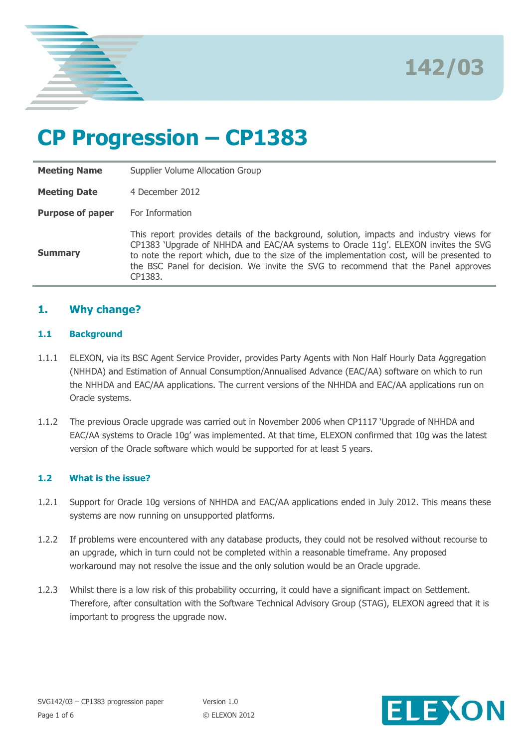

**142/03**

# **CP Progression – CP1383**

**Meeting Name** Supplier Volume Allocation Group **Meeting Date** 4 December 2012 **Purpose of paper** For Information **Summary** This report provides details of the background, solution, impacts and industry views for CP1383 'Upgrade of NHHDA and EAC/AA systems to Oracle 11g'. ELEXON invites the SVG to note the report which, due to the size of the implementation cost, will be presented to the BSC Panel for decision. We invite the SVG to recommend that the Panel approves CP1383.

## **1. Why change?**

#### **1.1 Background**

- 1.1.1 ELEXON, via its BSC Agent Service Provider, provides Party Agents with Non Half Hourly Data Aggregation (NHHDA) and Estimation of Annual Consumption/Annualised Advance (EAC/AA) software on which to run the NHHDA and EAC/AA applications. The current versions of the NHHDA and EAC/AA applications run on Oracle systems.
- 1.1.2 The previous Oracle upgrade was carried out in November 2006 when CP1117 'Upgrade of NHHDA and EAC/AA systems to Oracle 10g' was implemented. At that time, ELEXON confirmed that 10g was the latest version of the Oracle software which would be supported for at least 5 years.

#### **1.2 What is the issue?**

- 1.2.1 Support for Oracle 10g versions of NHHDA and EAC/AA applications ended in July 2012. This means these systems are now running on unsupported platforms.
- 1.2.2 If problems were encountered with any database products, they could not be resolved without recourse to an upgrade, which in turn could not be completed within a reasonable timeframe. Any proposed workaround may not resolve the issue and the only solution would be an Oracle upgrade.
- 1.2.3 Whilst there is a low risk of this probability occurring, it could have a significant impact on Settlement. Therefore, after consultation with the Software Technical Advisory Group (STAG), ELEXON agreed that it is important to progress the upgrade now.

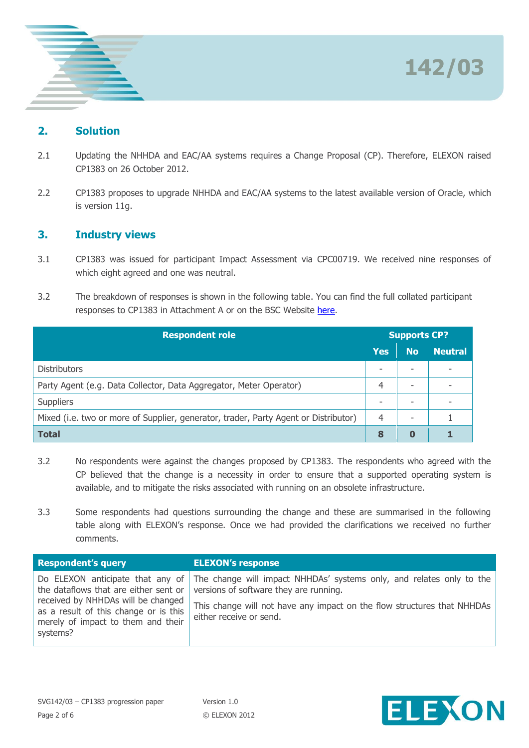

## **2. Solution**

- 2.1 Updating the NHHDA and EAC/AA systems requires a Change Proposal (CP). Therefore, ELEXON raised CP1383 on 26 October 2012.
- 2.2 CP1383 proposes to upgrade NHHDA and EAC/AA systems to the latest available version of Oracle, which is version 11g.

## **3. Industry views**

- 3.1 CP1383 was issued for participant Impact Assessment via CPC00719. We received nine responses of which eight agreed and one was neutral.
- 3.2 The breakdown of responses is shown in the following table. You can find the full collated participant responses to CP1383 in Attachment A or on the BSC Website [here.](http://www.elexon.co.uk/change-proposal/cp1383/)

| <b>Respondent role</b>                                                              |     | <b>Supports CP?</b>      |                |  |
|-------------------------------------------------------------------------------------|-----|--------------------------|----------------|--|
|                                                                                     | Yes | <b>No</b>                | <b>Neutral</b> |  |
| <b>Distributors</b>                                                                 |     | $\overline{\phantom{a}}$ | ۰              |  |
| Party Agent (e.g. Data Collector, Data Aggregator, Meter Operator)                  |     | -                        |                |  |
| <b>Suppliers</b>                                                                    |     | -                        |                |  |
| Mixed (i.e. two or more of Supplier, generator, trader, Party Agent or Distributor) |     | ۰                        |                |  |
| <b>Total</b>                                                                        | 8   | 0                        |                |  |

- 3.2 No respondents were against the changes proposed by CP1383. The respondents who agreed with the CP believed that the change is a necessity in order to ensure that a supported operating system is available, and to mitigate the risks associated with running on an obsolete infrastructure.
- 3.3 Some respondents had questions surrounding the change and these are summarised in the following table along with ELEXON's response. Once we had provided the clarifications we received no further comments.

| <b>Respondent's query</b>             | <b>ELEXON's response</b>                                                                              |
|---------------------------------------|-------------------------------------------------------------------------------------------------------|
| received by NHHDAs will be changed    | Do ELEXON anticipate that any of The change will impact NHHDAs' systems only, and relates only to the |
| as a result of this change or is this | the data flows that are either sent or $\vert$ versions of software they are running.                 |
| merely of impact to them and their    | This change will not have any impact on the flow structures that NHHDAs                               |
| systems?                              | either receive or send.                                                                               |

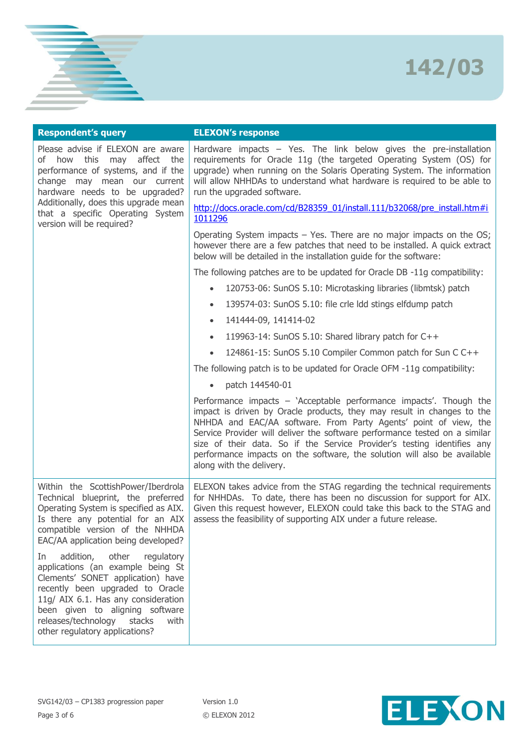# **142/03**

| <b>Respondent's query</b>                                                                                                                                                                                                                                                                                 | <b>ELEXON's response</b>                                                                                                                                                                                                                                                                                                                                                                                                                                                          |
|-----------------------------------------------------------------------------------------------------------------------------------------------------------------------------------------------------------------------------------------------------------------------------------------------------------|-----------------------------------------------------------------------------------------------------------------------------------------------------------------------------------------------------------------------------------------------------------------------------------------------------------------------------------------------------------------------------------------------------------------------------------------------------------------------------------|
| Please advise if ELEXON are aware<br>of how this may affect the<br>performance of systems, and if the<br>change may mean our current<br>hardware needs to be upgraded?                                                                                                                                    | Hardware impacts $-$ Yes. The link below gives the pre-installation<br>requirements for Oracle 11g (the targeted Operating System (OS) for<br>upgrade) when running on the Solaris Operating System. The information<br>will allow NHHDAs to understand what hardware is required to be able to<br>run the upgraded software.                                                                                                                                                     |
| Additionally, does this upgrade mean<br>that a specific Operating System<br>version will be required?                                                                                                                                                                                                     | http://docs.oracle.com/cd/B28359_01/install.111/b32068/pre_install.htm#i<br>1011296                                                                                                                                                                                                                                                                                                                                                                                               |
|                                                                                                                                                                                                                                                                                                           | Operating System impacts $-$ Yes. There are no major impacts on the OS;<br>however there are a few patches that need to be installed. A quick extract<br>below will be detailed in the installation guide for the software:                                                                                                                                                                                                                                                       |
|                                                                                                                                                                                                                                                                                                           | The following patches are to be updated for Oracle DB -11g compatibility:                                                                                                                                                                                                                                                                                                                                                                                                         |
|                                                                                                                                                                                                                                                                                                           | 120753-06: SunOS 5.10: Microtasking libraries (libmtsk) patch<br>$\bullet$                                                                                                                                                                                                                                                                                                                                                                                                        |
|                                                                                                                                                                                                                                                                                                           | 139574-03: SunOS 5.10: file crle Idd stings elfdump patch<br>$\bullet$                                                                                                                                                                                                                                                                                                                                                                                                            |
|                                                                                                                                                                                                                                                                                                           | 141444-09, 141414-02<br>$\bullet$                                                                                                                                                                                                                                                                                                                                                                                                                                                 |
|                                                                                                                                                                                                                                                                                                           | 119963-14: SunOS 5.10: Shared library patch for C++<br>$\bullet$                                                                                                                                                                                                                                                                                                                                                                                                                  |
|                                                                                                                                                                                                                                                                                                           | 124861-15: SunOS 5.10 Compiler Common patch for Sun C C++                                                                                                                                                                                                                                                                                                                                                                                                                         |
|                                                                                                                                                                                                                                                                                                           | The following patch is to be updated for Oracle OFM -11g compatibility:                                                                                                                                                                                                                                                                                                                                                                                                           |
|                                                                                                                                                                                                                                                                                                           | patch 144540-01                                                                                                                                                                                                                                                                                                                                                                                                                                                                   |
|                                                                                                                                                                                                                                                                                                           | Performance impacts - 'Acceptable performance impacts'. Though the<br>impact is driven by Oracle products, they may result in changes to the<br>NHHDA and EAC/AA software. From Party Agents' point of view, the<br>Service Provider will deliver the software performance tested on a similar<br>size of their data. So if the Service Provider's testing identifies any<br>performance impacts on the software, the solution will also be available<br>along with the delivery. |
| Within the ScottishPower/Iberdrola<br>Technical blueprint, the preferred<br>Operating System is specified as AIX.<br>Is there any potential for an AIX<br>compatible version of the NHHDA<br>EAC/AA application being developed?                                                                          | ELEXON takes advice from the STAG regarding the technical requirements<br>for NHHDAs. To date, there has been no discussion for support for AIX.<br>Given this request however, ELEXON could take this back to the STAG and<br>assess the feasibility of supporting AIX under a future release.                                                                                                                                                                                   |
| other<br>addition,<br>regulatory<br>In<br>applications (an example being St<br>Clements' SONET application) have<br>recently been upgraded to Oracle<br>11g/ AIX 6.1. Has any consideration<br>been given to aligning software<br>releases/technology<br>stacks<br>with<br>other regulatory applications? |                                                                                                                                                                                                                                                                                                                                                                                                                                                                                   |

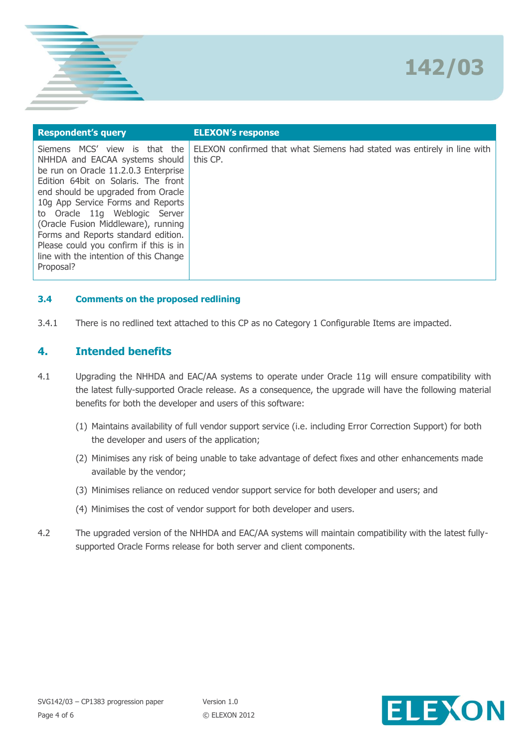

| <b>Respondent's query</b>                                                                                                                                                                                                                                                                                                                                                                                                                              | <b>ELEXON's response</b>                                                            |
|--------------------------------------------------------------------------------------------------------------------------------------------------------------------------------------------------------------------------------------------------------------------------------------------------------------------------------------------------------------------------------------------------------------------------------------------------------|-------------------------------------------------------------------------------------|
| MCS' view is<br>that the<br><b>Siemens</b><br>NHHDA and EACAA systems should<br>be run on Oracle 11.2.0.3 Enterprise<br>Edition 64bit on Solaris. The front<br>end should be upgraded from Oracle<br>10g App Service Forms and Reports<br>to Oracle 11g Weblogic Server<br>(Oracle Fusion Middleware), running<br>Forms and Reports standard edition.<br>Please could you confirm if this is in<br>line with the intention of this Change<br>Proposal? | ELEXON confirmed that what Siemens had stated was entirely in line with<br>this CP. |

#### **3.4 Comments on the proposed redlining**

3.4.1 There is no redlined text attached to this CP as no Category 1 Configurable Items are impacted.

### **4. Intended benefits**

- 4.1 Upgrading the NHHDA and EAC/AA systems to operate under Oracle 11g will ensure compatibility with the latest fully-supported Oracle release. As a consequence, the upgrade will have the following material benefits for both the developer and users of this software:
	- (1) Maintains availability of full vendor support service (i.e. including Error Correction Support) for both the developer and users of the application;
	- (2) Minimises any risk of being unable to take advantage of defect fixes and other enhancements made available by the vendor;
	- (3) Minimises reliance on reduced vendor support service for both developer and users; and
	- (4) Minimises the cost of vendor support for both developer and users.
- 4.2 The upgraded version of the NHHDA and EAC/AA systems will maintain compatibility with the latest fullysupported Oracle Forms release for both server and client components.

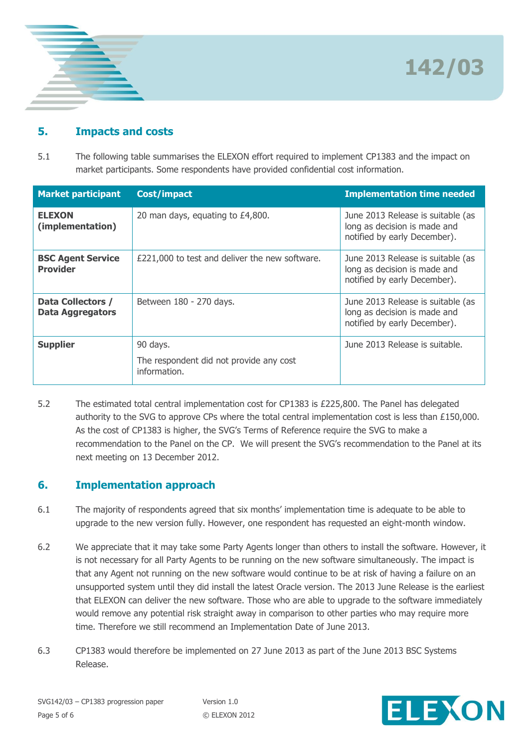**142/03**



# **5. Impacts and costs**

5.1 The following table summarises the ELEXON effort required to implement CP1383 and the impact on market participants. Some respondents have provided confidential cost information.

| <b>Market participant</b>                    | Cost/impact                                                         | <b>Implementation time needed</b>                                                                 |
|----------------------------------------------|---------------------------------------------------------------------|---------------------------------------------------------------------------------------------------|
| <b>ELEXON</b><br>(implementation)            | 20 man days, equating to £4,800.                                    | June 2013 Release is suitable (as<br>long as decision is made and<br>notified by early December). |
| <b>BSC Agent Service</b><br><b>Provider</b>  | £221,000 to test and deliver the new software.                      | June 2013 Release is suitable (as<br>long as decision is made and<br>notified by early December). |
| Data Collectors /<br><b>Data Aggregators</b> | Between 180 - 270 days.                                             | June 2013 Release is suitable (as<br>long as decision is made and<br>notified by early December). |
| <b>Supplier</b>                              | 90 days.<br>The respondent did not provide any cost<br>information. | June 2013 Release is suitable.                                                                    |

5.2 The estimated total central implementation cost for CP1383 is £225,800. The Panel has delegated authority to the SVG to approve CPs where the total central implementation cost is less than £150,000. As the cost of CP1383 is higher, the SVG's Terms of Reference require the SVG to make a recommendation to the Panel on the CP. We will present the SVG's recommendation to the Panel at its next meeting on 13 December 2012.

# **6. Implementation approach**

- 6.1 The majority of respondents agreed that six months' implementation time is adequate to be able to upgrade to the new version fully. However, one respondent has requested an eight-month window.
- 6.2 We appreciate that it may take some Party Agents longer than others to install the software. However, it is not necessary for all Party Agents to be running on the new software simultaneously. The impact is that any Agent not running on the new software would continue to be at risk of having a failure on an unsupported system until they did install the latest Oracle version. The 2013 June Release is the earliest that ELEXON can deliver the new software. Those who are able to upgrade to the software immediately would remove any potential risk straight away in comparison to other parties who may require more time. Therefore we still recommend an Implementation Date of June 2013.
- 6.3 CP1383 would therefore be implemented on 27 June 2013 as part of the June 2013 BSC Systems Release.